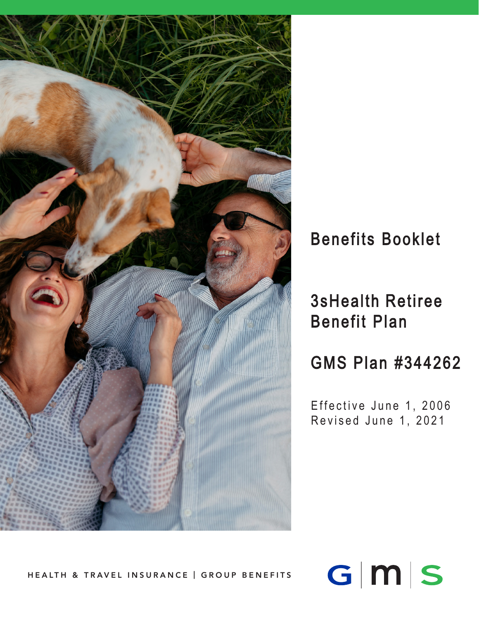

# Benefits Booklet

# 3sHealth Retiree Benefit Plan

GMS Plan #344262

Effective June 1, 2006 Revised June 1, 202 1

 $G|M|S$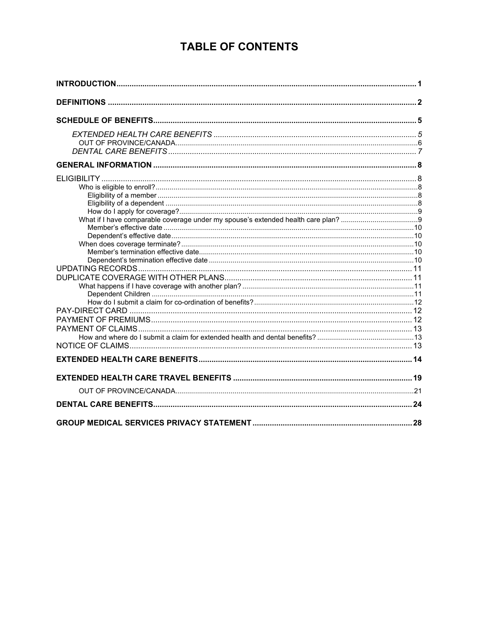# **TABLE OF CONTENTS**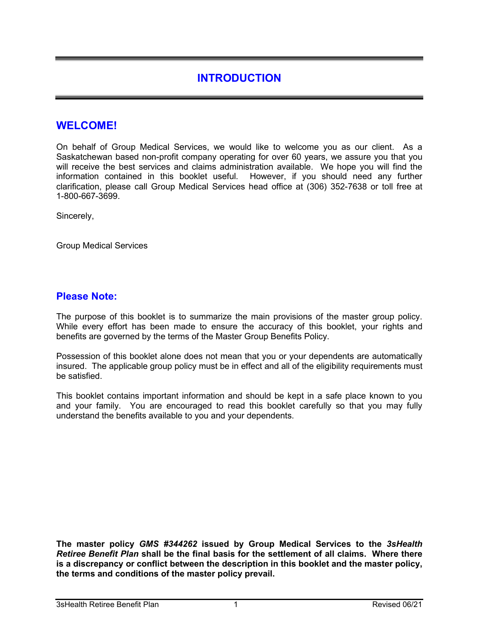# **INTRODUCTION**

# **WELCOME!**

On behalf of Group Medical Services, we would like to welcome you as our client. As a Saskatchewan based non-profit company operating for over 60 years, we assure you that you will receive the best services and claims administration available. We hope you will find the information contained in this booklet useful. However, if you should need any further clarification, please call Group Medical Services head office at (306) 352-7638 or toll free at 1-800-667-3699.

Sincerely,

Group Medical Services

### **Please Note:**

The purpose of this booklet is to summarize the main provisions of the master group policy. While every effort has been made to ensure the accuracy of this booklet, your rights and benefits are governed by the terms of the Master Group Benefits Policy.

Possession of this booklet alone does not mean that you or your dependents are automatically insured. The applicable group policy must be in effect and all of the eligibility requirements must be satisfied.

This booklet contains important information and should be kept in a safe place known to you and your family. You are encouraged to read this booklet carefully so that you may fully understand the benefits available to you and your dependents.

**The master policy** *GMS #344262* **issued by Group Medical Services to the** *3sHealth Retiree Benefit Plan* **shall be the final basis for the settlement of all claims. Where there is a discrepancy or conflict between the description in this booklet and the master policy, the terms and conditions of the master policy prevail.**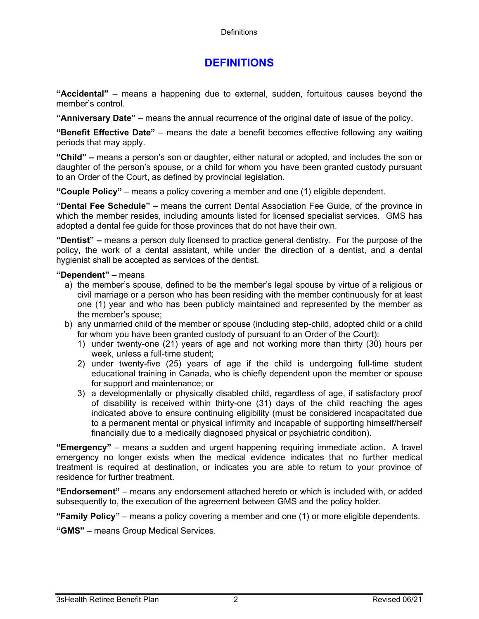# **DEFINITIONS**

**"Accidental"** – means a happening due to external, sudden, fortuitous causes beyond the member's control.

**"Anniversary Date"** – means the annual recurrence of the original date of issue of the policy.

**"Benefit Effective Date"** – means the date a benefit becomes effective following any waiting periods that may apply.

**"Child" –** means a person's son or daughter, either natural or adopted, and includes the son or daughter of the person's spouse, or a child for whom you have been granted custody pursuant to an Order of the Court, as defined by provincial legislation.

**"Couple Policy"** – means a policy covering a member and one (1) eligible dependent.

**"Dental Fee Schedule"** – means the current Dental Association Fee Guide, of the province in which the member resides, including amounts listed for licensed specialist services. GMS has adopted a dental fee guide for those provinces that do not have their own.

**"Dentist" –** means a person duly licensed to practice general dentistry. For the purpose of the policy, the work of a dental assistant, while under the direction of a dentist, and a dental hygienist shall be accepted as services of the dentist.

#### **"Dependent"** – means

- a) the member's spouse, defined to be the member's legal spouse by virtue of a religious or civil marriage or a person who has been residing with the member continuously for at least one (1) year and who has been publicly maintained and represented by the member as the member's spouse;
- b) any unmarried child of the member or spouse (including step-child, adopted child or a child for whom you have been granted custody of pursuant to an Order of the Court):
	- 1) under twenty-one (21) years of age and not working more than thirty (30) hours per week, unless a full-time student;
	- 2) under twenty-five (25) years of age if the child is undergoing full-time student educational training in Canada, who is chiefly dependent upon the member or spouse for support and maintenance; or
	- 3) a developmentally or physically disabled child, regardless of age, if satisfactory proof of disability is received within thirty-one (31) days of the child reaching the ages indicated above to ensure continuing eligibility (must be considered incapacitated due to a permanent mental or physical infirmity and incapable of supporting himself/herself financially due to a medically diagnosed physical or psychiatric condition).

**"Emergency"** – means a sudden and urgent happening requiring immediate action. A travel emergency no longer exists when the medical evidence indicates that no further medical treatment is required at destination, or indicates you are able to return to your province of residence for further treatment.

**"Endorsement"** – means any endorsement attached hereto or which is included with, or added subsequently to, the execution of the agreement between GMS and the policy holder.

**"Family Policy"** – means a policy covering a member and one (1) or more eligible dependents.

**"GMS"** – means Group Medical Services.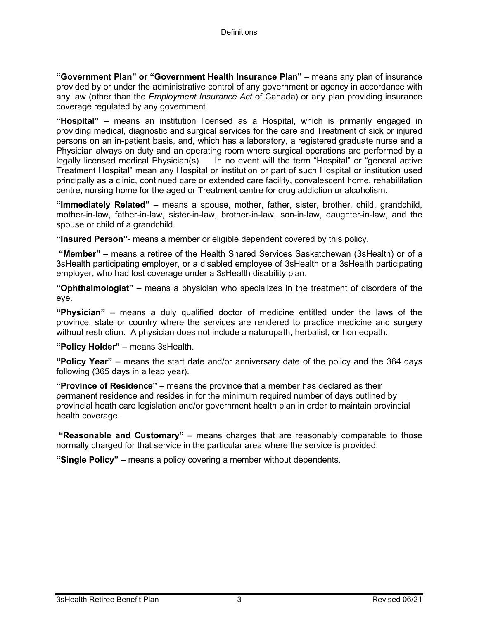**"Government Plan" or "Government Health Insurance Plan"** – means any plan of insurance provided by or under the administrative control of any government or agency in accordance with any law (other than the *Employment Insurance Act* of Canada) or any plan providing insurance coverage regulated by any government.

**"Hospital"** – means an institution licensed as a Hospital, which is primarily engaged in providing medical, diagnostic and surgical services for the care and Treatment of sick or injured persons on an in-patient basis, and, which has a laboratory, a registered graduate nurse and a Physician always on duty and an operating room where surgical operations are performed by a<br>legally licensed medical Physician(s). In no event will the term "Hospital" or "general active In no event will the term "Hospital" or "general active Treatment Hospital" mean any Hospital or institution or part of such Hospital or institution used principally as a clinic, continued care or extended care facility, convalescent home, rehabilitation centre, nursing home for the aged or Treatment centre for drug addiction or alcoholism.

**"Immediately Related"** – means a spouse, mother, father, sister, brother, child, grandchild, mother-in-law, father-in-law, sister-in-law, brother-in-law, son-in-law, daughter-in-law, and the spouse or child of a grandchild.

**"Insured Person"-** means a member or eligible dependent covered by this policy.

**"Member"** – means a retiree of the Health Shared Services Saskatchewan (3sHealth) or of a 3sHealth participating employer, or a disabled employee of 3sHealth or a 3sHealth participating employer, who had lost coverage under a 3sHealth disability plan.

**"Ophthalmologist"** – means a physician who specializes in the treatment of disorders of the eye.

**"Physician"** – means a duly qualified doctor of medicine entitled under the laws of the province, state or country where the services are rendered to practice medicine and surgery without restriction. A physician does not include a naturopath, herbalist, or homeopath.

**"Policy Holder"** – means 3sHealth.

**"Policy Year"** – means the start date and/or anniversary date of the policy and the 364 days following (365 days in a leap year).

**"Province of Residence" –** means the province that a member has declared as their permanent residence and resides in for the minimum required number of days outlined by provincial heath care legislation and/or government health plan in order to maintain provincial health coverage.

**"Reasonable and Customary"** – means charges that are reasonably comparable to those normally charged for that service in the particular area where the service is provided.

**"Single Policy"** – means a policy covering a member without dependents.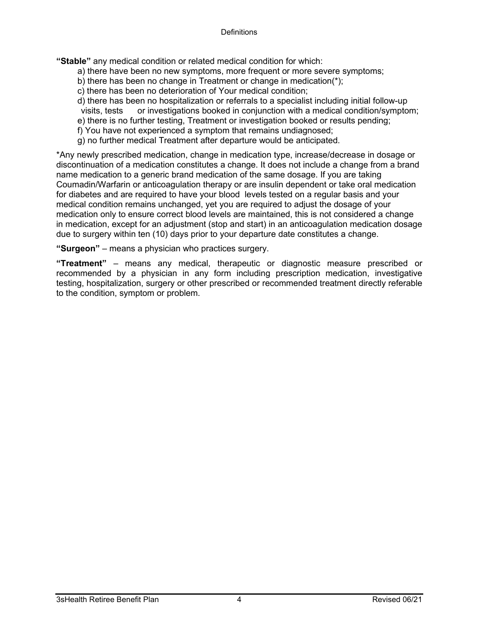**"Stable"** any medical condition or related medical condition for which:

- a) there have been no new symptoms, more frequent or more severe symptoms;
- b) there has been no change in Treatment or change in medication(\*);
- c) there has been no deterioration of Your medical condition;
- d) there has been no hospitalization or referrals to a specialist including initial follow-up
- visits, tests or investigations booked in conjunction with a medical condition/symptom;
- e) there is no further testing, Treatment or investigation booked or results pending;
- f) You have not experienced a symptom that remains undiagnosed;
- g) no further medical Treatment after departure would be anticipated.

\*Any newly prescribed medication, change in medication type, increase/decrease in dosage or discontinuation of a medication constitutes a change. It does not include a change from a brand name medication to a generic brand medication of the same dosage. If you are taking Coumadin/Warfarin or anticoagulation therapy or are insulin dependent or take oral medication for diabetes and are required to have your blood levels tested on a regular basis and your medical condition remains unchanged, yet you are required to adjust the dosage of your medication only to ensure correct blood levels are maintained, this is not considered a change in medication, except for an adjustment (stop and start) in an anticoagulation medication dosage due to surgery within ten (10) days prior to your departure date constitutes a change.

**"Surgeon"** – means a physician who practices surgery.

**"Treatment"** – means any medical, therapeutic or diagnostic measure prescribed or recommended by a physician in any form including prescription medication, investigative testing, hospitalization, surgery or other prescribed or recommended treatment directly referable to the condition, symptom or problem.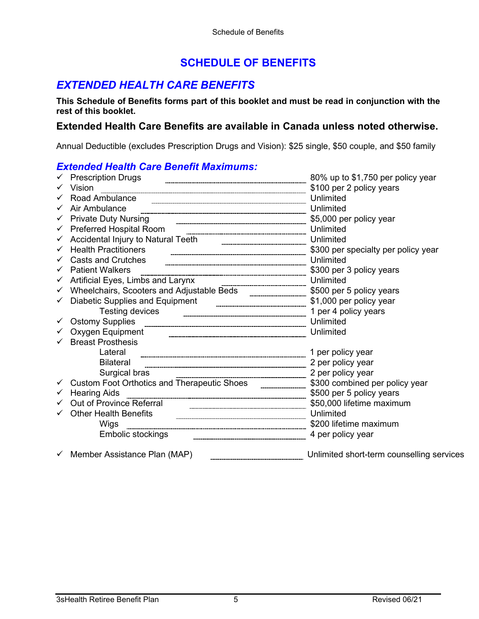# **SCHEDULE OF BENEFITS**

# *EXTENDED HEALTH CARE BENEFITS*

**This Schedule of Benefits forms part of this booklet and must be read in conjunction with the rest of this booklet.** 

# **Extended Health Care Benefits are available in Canada unless noted otherwise.**

Annual Deductible (excludes Prescription Drugs and Vision): \$25 single, \$50 couple, and \$50 family

#### *Extended Health Care Benefit Maximums:*

|              | $\checkmark$ Prescription Drugs                                                                                | 80% up to \$1,750 per policy year         |
|--------------|----------------------------------------------------------------------------------------------------------------|-------------------------------------------|
|              | Vision                                                                                                         | \$100 per 2 policy years                  |
|              | Road Ambulance                                                                                                 | Unlimited                                 |
|              | Air Ambulance                                                                                                  |                                           |
| $\checkmark$ |                                                                                                                | \$5,000 per policy year                   |
|              | $\checkmark$ Preferred Hospital Room                                                                           | Unlimited                                 |
|              | Accidental Injury to Natural Teeth [1990] Maximum Maximum Maximum Maximum Maximum Maximum Maximum Maximum Maxi | Unlimited                                 |
|              | <b>Health Practitioners</b>                                                                                    | \$300 per specialty per policy year       |
|              | <b>Casts and Crutches</b>                                                                                      | Unlimited                                 |
|              | <b>Patient Walkers</b>                                                                                         | \$300 per 3 policy years                  |
|              | Artificial Eyes, Limbs and Larynx                                                                              | Unlimited                                 |
| $\checkmark$ | Wheelchairs, Scooters and Adjustable Beds ____________________ \$500 per 5 policy years                        |                                           |
|              |                                                                                                                | \$1,000 per policy year                   |
|              | <b>Testing devices</b>                                                                                         | 1 per 4 policy years                      |
|              | $\checkmark$ Ostomy Supplies                                                                                   | Unlimited                                 |
|              | Oxygen Equipment                                                                                               | Unlimited                                 |
|              | <b>Breast Prosthesis</b>                                                                                       |                                           |
|              | Lateral                                                                                                        | 1 per policy year                         |
|              | <b>Bilateral</b>                                                                                               | 2 per policy year                         |
|              | Surgical bras                                                                                                  | 2 per policy year                         |
|              | Custom Foot Orthotics and Therapeutic Shoes <b>Fig. 1.1.1.1.1.1.1.1.1.1.1.1.1.1.1.1.</b>                       | \$300 combined per policy year            |
|              | <b>Hearing Aids</b>                                                                                            | \$500 per 5 policy years                  |
|              | Out of Province Referral                                                                                       | \$50,000 lifetime maximum                 |
|              | Other Health Benefits <b>Construction Contract Construction</b> Chern Health Benefits <b>Construction</b>      | Unlimited                                 |
|              | Wigs                                                                                                           |                                           |
|              |                                                                                                                | 4 per policy year                         |
|              | $\checkmark$ Member Assistance Plan (MAP)                                                                      | Unlimited short-term counselling services |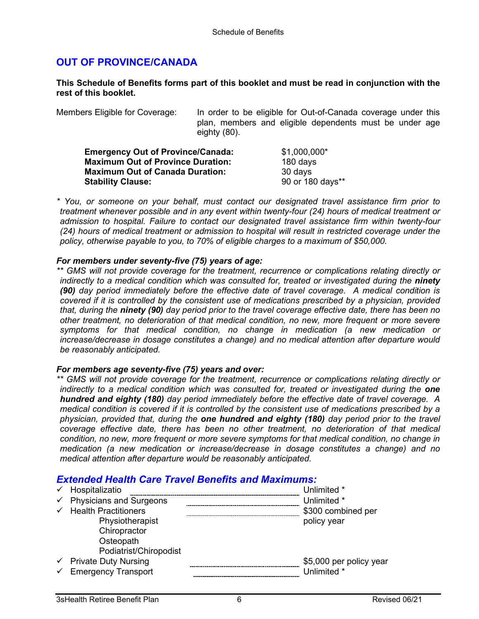### **OUT OF PROVINCE/CANADA**

#### **This Schedule of Benefits forms part of this booklet and must be read in conjunction with the rest of this booklet.**

Members Eligible for Coverage: In order to be eligible for Out-of-Canada coverage under this plan, members and eligible dependents must be under age eighty (80).

| <b>Emergency Out of Province/Canada:</b> | \$1,000,000*     |
|------------------------------------------|------------------|
| <b>Maximum Out of Province Duration:</b> | 180 days         |
| <b>Maximum Out of Canada Duration:</b>   | 30 days          |
| <b>Stability Clause:</b>                 | 90 or 180 days** |

*\* You, or someone on your behalf, must contact our designated travel assistance firm prior to treatment whenever possible and in any event within twenty-four (24) hours of medical treatment or admission to hospital. Failure to contact our designated travel assistance firm within twenty-four (24) hours of medical treatment or admission to hospital will result in restricted coverage under the policy, otherwise payable to you, to 70% of eligible charges to a maximum of \$50,000.*

#### *For members under seventy-five (75) years of age:*

*\*\* GMS will not provide coverage for the treatment, recurrence or complications relating directly or indirectly to a medical condition which was consulted for, treated or investigated during the ninety (90) day period immediately before the effective date of travel coverage. A medical condition is covered if it is controlled by the consistent use of medications prescribed by a physician, provided that, during the ninety (90) day period prior to the travel coverage effective date, there has been no other treatment, no deterioration of that medical condition, no new, more frequent or more severe symptoms for that medical condition, no change in medication (a new medication or increase/decrease in dosage constitutes a change) and no medical attention after departure would be reasonably anticipated.*

#### *For members age seventy-five (75) years and over:*

*\*\* GMS will not provide coverage for the treatment, recurrence or complications relating directly or indirectly to a medical condition which was consulted for, treated or investigated during the one hundred and eighty (180) day period immediately before the effective date of travel coverage. A medical condition is covered if it is controlled by the consistent use of medications prescribed by a physician, provided that, during the one hundred and eighty (180) day period prior to the travel coverage effective date, there has been no other treatment, no deterioration of that medical condition, no new, more frequent or more severe symptoms for that medical condition, no change in medication (a new medication or increase/decrease in dosage constitutes a change) and no medical attention after departure would be reasonably anticipated.*

#### *Extended Health Care Travel Benefits and Maximums:*

| Hospitalizatio                       | Unlimited *             |
|--------------------------------------|-------------------------|
| $\checkmark$ Physicians and Surgeons | Unlimited *             |
| $\checkmark$ Health Practitioners    | \$300 combined per      |
| Physiotherapist                      | policy year             |
| Chiropractor                         |                         |
| Osteopath                            |                         |
| Podiatrist/Chiropodist               |                         |
| $\checkmark$ Private Duty Nursing    | \$5,000 per policy year |
| $\checkmark$ Emergency Transport     | Unlimited *             |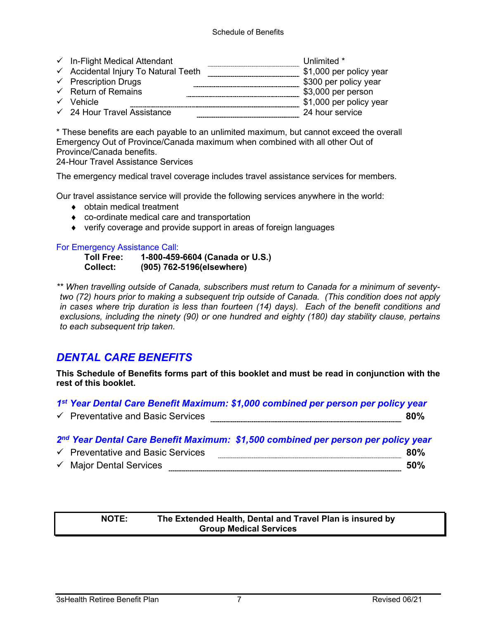| $\checkmark$ In-Flight Medical Attendant        | Unlimited *             |
|-------------------------------------------------|-------------------------|
| $\checkmark$ Accidental Injury To Natural Teeth | \$1,000 per policy year |
| $\checkmark$ Prescription Drugs                 | \$300 per policy year   |
| $\checkmark$ Return of Remains                  | \$3,000 per person      |
| $\checkmark$ Vehicle                            | \$1,000 per policy year |
| $\checkmark$ 24 Hour Travel Assistance          | 24 hour service         |

\* These benefits are each payable to an unlimited maximum, but cannot exceed the overall Emergency Out of Province/Canada maximum when combined with all other Out of Province/Canada benefits.

24-Hour Travel Assistance Services

The emergency medical travel coverage includes travel assistance services for members.

Our travel assistance service will provide the following services anywhere in the world:

- ♦ obtain medical treatment
- ♦ co-ordinate medical care and transportation
- ♦ verify coverage and provide support in areas of foreign languages

#### For Emergency Assistance Call:

**Toll Free: 1-800-459-6604 (Canada or U.S.) Collect: (905) 762-5196(elsewhere)**

*\*\* When travelling outside of Canada, subscribers must return to Canada for a minimum of seventytwo (72) hours prior to making a subsequent trip outside of Canada. (This condition does not apply in cases where trip duration is less than fourteen (14) days). Each of the benefit conditions and exclusions, including the ninety (90) or one hundred and eighty (180) day stability clause, pertains to each subsequent trip taken.*

# *DENTAL CARE BENEFITS*

**This Schedule of Benefits forms part of this booklet and must be read in conjunction with the rest of this booklet.** 

| 1 <sup>st</sup> Year Dental Care Benefit Maximum: \$1,000 combined per person per policy year |     |
|-----------------------------------------------------------------------------------------------|-----|
| $\checkmark$ Preventative and Basic Services                                                  | 80% |

*2nd Year Dental Care Benefit Maximum: \$1,500 combined per person per policy year*

| $\checkmark$ | <b>Preventative and Basic Services</b> |  |
|--------------|----------------------------------------|--|
| $\checkmark$ | Maior Dental Services                  |  |

#### **NOTE: The Extended Health, Dental and Travel Plan is insured by Group Medical Services**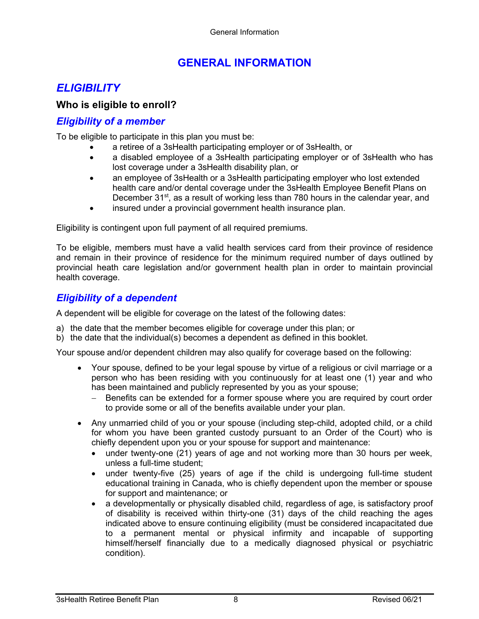# **GENERAL INFORMATION**

# *ELIGIBILITY*

## **Who is eligible to enroll?**

### *Eligibility of a member*

To be eligible to participate in this plan you must be:

- a retiree of a 3sHealth participating employer or of 3sHealth, or
- a disabled employee of a 3sHealth participating employer or of 3sHealth who has lost coverage under a 3sHealth disability plan, or
- an employee of 3sHealth or a 3sHealth participating employer who lost extended health care and/or dental coverage under the 3sHealth Employee Benefit Plans on December  $31<sup>st</sup>$ , as a result of working less than 780 hours in the calendar year, and
- insured under a provincial government health insurance plan.

Eligibility is contingent upon full payment of all required premiums.

To be eligible, members must have a valid health services card from their province of residence and remain in their province of residence for the minimum required number of days outlined by provincial heath care legislation and/or government health plan in order to maintain provincial health coverage.

## *Eligibility of a dependent*

A dependent will be eligible for coverage on the latest of the following dates:

- a) the date that the member becomes eligible for coverage under this plan; or
- b) the date that the individual(s) becomes a dependent as defined in this booklet.

Your spouse and/or dependent children may also qualify for coverage based on the following:

- Your spouse, defined to be your legal spouse by virtue of a religious or civil marriage or a person who has been residing with you continuously for at least one (1) year and who has been maintained and publicly represented by you as your spouse;
	- − Benefits can be extended for a former spouse where you are required by court order to provide some or all of the benefits available under your plan.
- Any unmarried child of you or your spouse (including step-child, adopted child, or a child for whom you have been granted custody pursuant to an Order of the Court) who is chiefly dependent upon you or your spouse for support and maintenance:
	- under twenty-one (21) years of age and not working more than 30 hours per week, unless a full-time student;
	- under twenty-five (25) years of age if the child is undergoing full-time student educational training in Canada, who is chiefly dependent upon the member or spouse for support and maintenance; or
	- a developmentally or physically disabled child, regardless of age, is satisfactory proof of disability is received within thirty-one (31) days of the child reaching the ages indicated above to ensure continuing eligibility (must be considered incapacitated due to a permanent mental or physical infirmity and incapable of supporting himself/herself financially due to a medically diagnosed physical or psychiatric condition).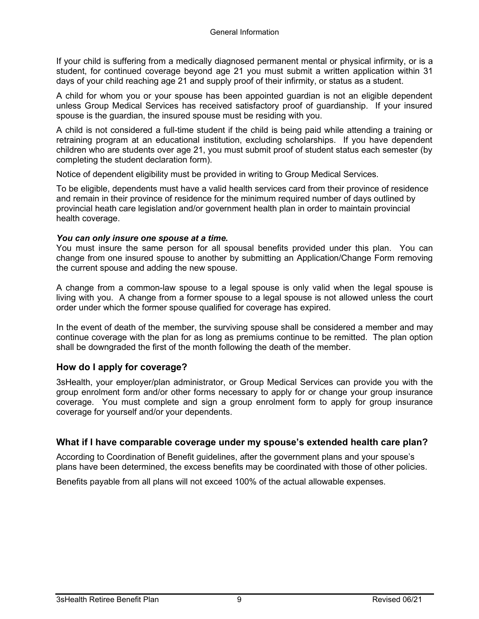If your child is suffering from a medically diagnosed permanent mental or physical infirmity, or is a student, for continued coverage beyond age 21 you must submit a written application within 31 days of your child reaching age 21 and supply proof of their infirmity, or status as a student.

A child for whom you or your spouse has been appointed guardian is not an eligible dependent unless Group Medical Services has received satisfactory proof of guardianship. If your insured spouse is the guardian, the insured spouse must be residing with you.

A child is not considered a full-time student if the child is being paid while attending a training or retraining program at an educational institution, excluding scholarships. If you have dependent children who are students over age 21, you must submit proof of student status each semester (by completing the student declaration form).

Notice of dependent eligibility must be provided in writing to Group Medical Services.

To be eligible, dependents must have a valid health services card from their province of residence and remain in their province of residence for the minimum required number of days outlined by provincial heath care legislation and/or government health plan in order to maintain provincial health coverage.

#### *You can only insure one spouse at a time.*

You must insure the same person for all spousal benefits provided under this plan. You can change from one insured spouse to another by submitting an Application/Change Form removing the current spouse and adding the new spouse.

A change from a common-law spouse to a legal spouse is only valid when the legal spouse is living with you. A change from a former spouse to a legal spouse is not allowed unless the court order under which the former spouse qualified for coverage has expired.

In the event of death of the member, the surviving spouse shall be considered a member and may continue coverage with the plan for as long as premiums continue to be remitted. The plan option shall be downgraded the first of the month following the death of the member.

#### **How do I apply for coverage?**

3sHealth, your employer/plan administrator, or Group Medical Services can provide you with the group enrolment form and/or other forms necessary to apply for or change your group insurance coverage. You must complete and sign a group enrolment form to apply for group insurance coverage for yourself and/or your dependents.

#### **What if I have comparable coverage under my spouse's extended health care plan?**

According to Coordination of Benefit guidelines, after the government plans and your spouse's plans have been determined, the excess benefits may be coordinated with those of other policies.

Benefits payable from all plans will not exceed 100% of the actual allowable expenses.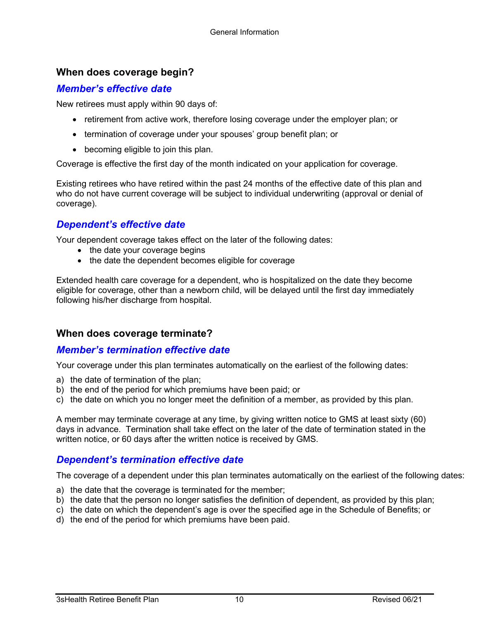### **When does coverage begin?**

### *Member's effective date*

New retirees must apply within 90 days of:

- retirement from active work, therefore losing coverage under the employer plan; or
- termination of coverage under your spouses' group benefit plan; or
- becoming eligible to join this plan.

Coverage is effective the first day of the month indicated on your application for coverage.

Existing retirees who have retired within the past 24 months of the effective date of this plan and who do not have current coverage will be subject to individual underwriting (approval or denial of coverage).

## *Dependent's effective date*

Your dependent coverage takes effect on the later of the following dates:

- the date your coverage begins
- the date the dependent becomes eligible for coverage

Extended health care coverage for a dependent, who is hospitalized on the date they become eligible for coverage, other than a newborn child, will be delayed until the first day immediately following his/her discharge from hospital.

#### **When does coverage terminate?**

### *Member's termination effective date*

Your coverage under this plan terminates automatically on the earliest of the following dates:

- a) the date of termination of the plan;
- b) the end of the period for which premiums have been paid; or
- c) the date on which you no longer meet the definition of a member, as provided by this plan.

A member may terminate coverage at any time, by giving written notice to GMS at least sixty (60) days in advance. Termination shall take effect on the later of the date of termination stated in the written notice, or 60 days after the written notice is received by GMS.

### *Dependent's termination effective date*

The coverage of a dependent under this plan terminates automatically on the earliest of the following dates:

- a) the date that the coverage is terminated for the member;
- b) the date that the person no longer satisfies the definition of dependent, as provided by this plan;
- c) the date on which the dependent's age is over the specified age in the Schedule of Benefits; or
- d) the end of the period for which premiums have been paid.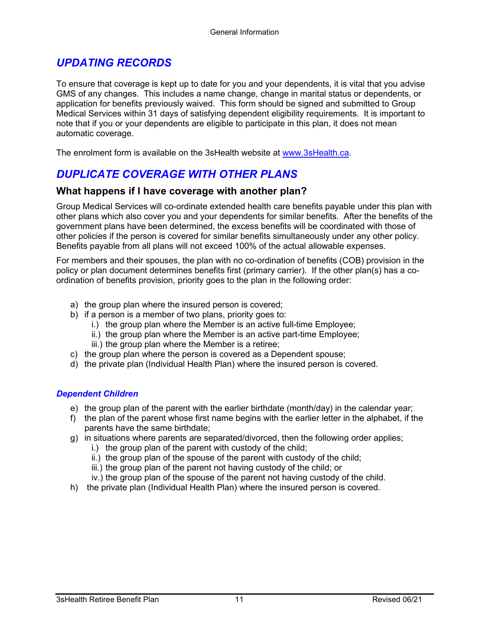# *UPDATING RECORDS*

To ensure that coverage is kept up to date for you and your dependents, it is vital that you advise GMS of any changes. This includes a name change, change in marital status or dependents, or application for benefits previously waived. This form should be signed and submitted to Group Medical Services within 31 days of satisfying dependent eligibility requirements. It is important to note that if you or your dependents are eligible to participate in this plan, it does not mean automatic coverage.

The enrolment form is available on the 3sHealth website at [www.3sHealth.ca.](http://www.3shealth.ca/)

# *DUPLICATE COVERAGE WITH OTHER PLANS*

### **What happens if I have coverage with another plan?**

Group Medical Services will co-ordinate extended health care benefits payable under this plan with other plans which also cover you and your dependents for similar benefits. After the benefits of the government plans have been determined, the excess benefits will be coordinated with those of other policies if the person is covered for similar benefits simultaneously under any other policy. Benefits payable from all plans will not exceed 100% of the actual allowable expenses.

For members and their spouses, the plan with no co-ordination of benefits (COB) provision in the policy or plan document determines benefits first (primary carrier). If the other plan(s) has a coordination of benefits provision, priority goes to the plan in the following order:

- a) the group plan where the insured person is covered;
- b) if a person is a member of two plans, priority goes to:
	- i.) the group plan where the Member is an active full-time Employee;
	- ii.) the group plan where the Member is an active part-time Employee;
	- iii.) the group plan where the Member is a retiree;
- c) the group plan where the person is covered as a Dependent spouse;
- d) the private plan (Individual Health Plan) where the insured person is covered.

#### *Dependent Children*

- e) the group plan of the parent with the earlier birthdate (month/day) in the calendar year;
- f) the plan of the parent whose first name begins with the earlier letter in the alphabet, if the parents have the same birthdate;
- g) in situations where parents are separated/divorced, then the following order applies;
	- i.) the group plan of the parent with custody of the child;
	- ii.) the group plan of the spouse of the parent with custody of the child;
	- iii.) the group plan of the parent not having custody of the child; or
	- iv.) the group plan of the spouse of the parent not having custody of the child.
- h) the private plan (Individual Health Plan) where the insured person is covered.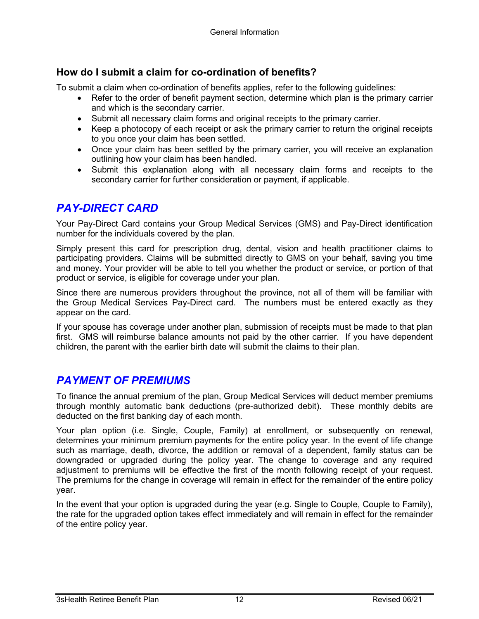# **How do I submit a claim for co-ordination of benefits?**

To submit a claim when co-ordination of benefits applies, refer to the following guidelines:

- Refer to the order of benefit payment section, determine which plan is the primary carrier and which is the secondary carrier.
- Submit all necessary claim forms and original receipts to the primary carrier.
- Keep a photocopy of each receipt or ask the primary carrier to return the original receipts to you once your claim has been settled.
- Once your claim has been settled by the primary carrier, you will receive an explanation outlining how your claim has been handled.
- Submit this explanation along with all necessary claim forms and receipts to the secondary carrier for further consideration or payment, if applicable.

# *PAY-DIRECT CARD*

Your Pay-Direct Card contains your Group Medical Services (GMS) and Pay-Direct identification number for the individuals covered by the plan.

Simply present this card for prescription drug, dental, vision and health practitioner claims to participating providers. Claims will be submitted directly to GMS on your behalf, saving you time and money. Your provider will be able to tell you whether the product or service, or portion of that product or service, is eligible for coverage under your plan.

Since there are numerous providers throughout the province, not all of them will be familiar with the Group Medical Services Pay-Direct card. The numbers must be entered exactly as they appear on the card.

If your spouse has coverage under another plan, submission of receipts must be made to that plan first. GMS will reimburse balance amounts not paid by the other carrier. If you have dependent children, the parent with the earlier birth date will submit the claims to their plan.

## *PAYMENT OF PREMIUMS*

To finance the annual premium of the plan, Group Medical Services will deduct member premiums through monthly automatic bank deductions (pre-authorized debit). These monthly debits are deducted on the first banking day of each month.

Your plan option (i.e. Single, Couple, Family) at enrollment, or subsequently on renewal, determines your minimum premium payments for the entire policy year. In the event of life change such as marriage, death, divorce, the addition or removal of a dependent, family status can be downgraded or upgraded during the policy year. The change to coverage and any required adjustment to premiums will be effective the first of the month following receipt of your request. The premiums for the change in coverage will remain in effect for the remainder of the entire policy year.

In the event that your option is upgraded during the year (e.g. Single to Couple, Couple to Family), the rate for the upgraded option takes effect immediately and will remain in effect for the remainder of the entire policy year.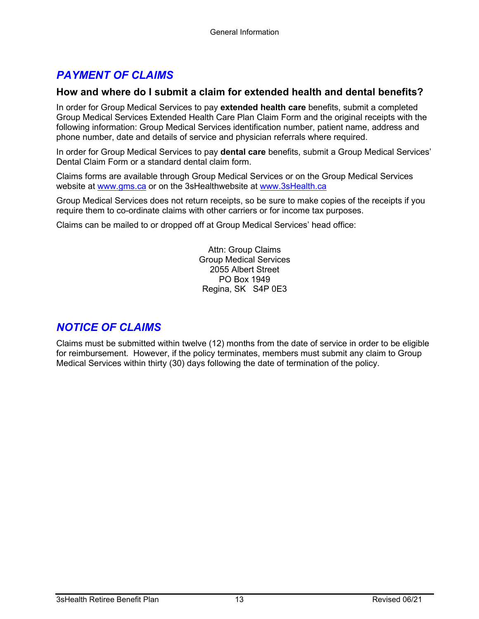# *PAYMENT OF CLAIMS*

### **How and where do I submit a claim for extended health and dental benefits?**

In order for Group Medical Services to pay **extended health care** benefits, submit a completed Group Medical Services Extended Health Care Plan Claim Form and the original receipts with the following information: Group Medical Services identification number, patient name, address and phone number, date and details of service and physician referrals where required.

In order for Group Medical Services to pay **dental care** benefits, submit a Group Medical Services' Dental Claim Form or a standard dental claim form.

Claims forms are available through Group Medical Services or on the Group Medical Services website at [www.gms.ca](http://www.gms.ca/) or on the 3sHealthwebsite at www.3sHealth.ca

Group Medical Services does not return receipts, so be sure to make copies of the receipts if you require them to co-ordinate claims with other carriers or for income tax purposes.

Claims can be mailed to or dropped off at Group Medical Services' head office:

Attn: Group Claims Group Medical Services 2055 Albert Street PO Box 1949 Regina, SK S4P 0E3

# *NOTICE OF CLAIMS*

Claims must be submitted within twelve (12) months from the date of service in order to be eligible for reimbursement. However, if the policy terminates, members must submit any claim to Group Medical Services within thirty (30) days following the date of termination of the policy.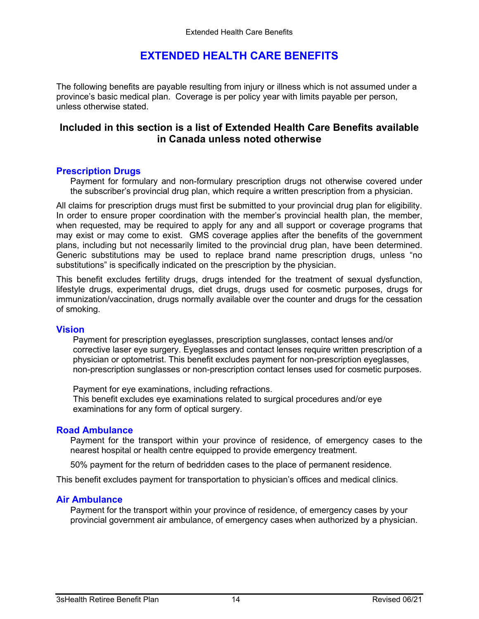# **EXTENDED HEALTH CARE BENEFITS**

The following benefits are payable resulting from injury or illness which is not assumed under a province's basic medical plan. Coverage is per policy year with limits payable per person, unless otherwise stated.

### **Included in this section is a list of Extended Health Care Benefits available in Canada unless noted otherwise**

#### **Prescription Drugs**

Payment for formulary and non-formulary prescription drugs not otherwise covered under the subscriber's provincial drug plan, which require a written prescription from a physician.

All claims for prescription drugs must first be submitted to your provincial drug plan for eligibility. In order to ensure proper coordination with the member's provincial health plan, the member, when requested, may be required to apply for any and all support or coverage programs that may exist or may come to exist. GMS coverage applies after the benefits of the government plans, including but not necessarily limited to the provincial drug plan, have been determined. Generic substitutions may be used to replace brand name prescription drugs, unless "no substitutions" is specifically indicated on the prescription by the physician.

This benefit excludes fertility drugs, drugs intended for the treatment of sexual dysfunction, lifestyle drugs, experimental drugs, diet drugs, drugs used for cosmetic purposes, drugs for immunization/vaccination, drugs normally available over the counter and drugs for the cessation of smoking.

#### **Vision**

Payment for prescription eyeglasses, prescription sunglasses, contact lenses and/or corrective laser eye surgery. Eyeglasses and contact lenses require written prescription of a physician or optometrist. This benefit excludes payment for non-prescription eyeglasses, non-prescription sunglasses or non-prescription contact lenses used for cosmetic purposes.

Payment for eye examinations, including refractions. This benefit excludes eye examinations related to surgical procedures and/or eye examinations for any form of optical surgery.

#### **Road Ambulance**

Payment for the transport within your province of residence, of emergency cases to the nearest hospital or health centre equipped to provide emergency treatment.

50% payment for the return of bedridden cases to the place of permanent residence.

This benefit excludes payment for transportation to physician's offices and medical clinics.

#### **Air Ambulance**

Payment for the transport within your province of residence, of emergency cases by your provincial government air ambulance, of emergency cases when authorized by a physician.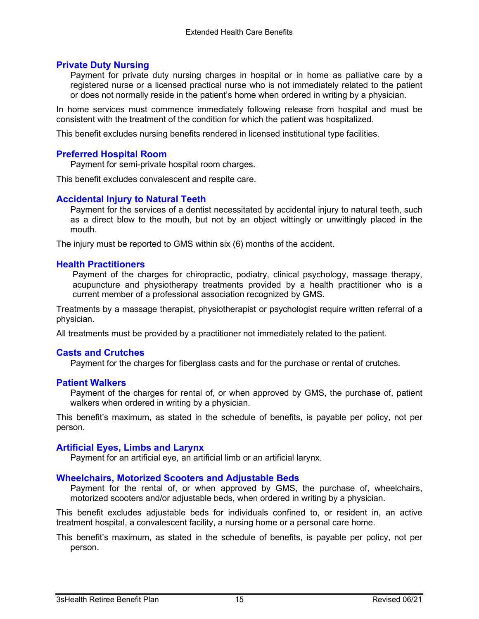#### **Private Duty Nursing**

Payment for private duty nursing charges in hospital or in home as palliative care by a registered nurse or a licensed practical nurse who is not immediately related to the patient or does not normally reside in the patient's home when ordered in writing by a physician.

In home services must commence immediately following release from hospital and must be consistent with the treatment of the condition for which the patient was hospitalized.

This benefit excludes nursing benefits rendered in licensed institutional type facilities.

#### **Preferred Hospital Room**

Payment for semi-private hospital room charges.

This benefit excludes convalescent and respite care.

#### **Accidental Injury to Natural Teeth**

Payment for the services of a dentist necessitated by accidental injury to natural teeth, such as a direct blow to the mouth, but not by an object wittingly or unwittingly placed in the mouth.

The injury must be reported to GMS within six (6) months of the accident.

#### **Health Practitioners**

Payment of the charges for chiropractic, podiatry, clinical psychology, massage therapy, acupuncture and physiotherapy treatments provided by a health practitioner who is a current member of a professional association recognized by GMS.

Treatments by a massage therapist, physiotherapist or psychologist require written referral of a physician.

All treatments must be provided by a practitioner not immediately related to the patient.

#### **Casts and Crutches**

Payment for the charges for fiberglass casts and for the purchase or rental of crutches.

#### **Patient Walkers**

Payment of the charges for rental of, or when approved by GMS, the purchase of, patient walkers when ordered in writing by a physician.

This benefit's maximum, as stated in the schedule of benefits, is payable per policy, not per person.

#### **Artificial Eyes, Limbs and Larynx**

Payment for an artificial eye, an artificial limb or an artificial larynx.

#### **Wheelchairs, Motorized Scooters and Adjustable Beds**

Payment for the rental of, or when approved by GMS, the purchase of, wheelchairs, motorized scooters and/or adjustable beds, when ordered in writing by a physician.

This benefit excludes adjustable beds for individuals confined to, or resident in, an active treatment hospital, a convalescent facility, a nursing home or a personal care home.

This benefit's maximum, as stated in the schedule of benefits, is payable per policy, not per person.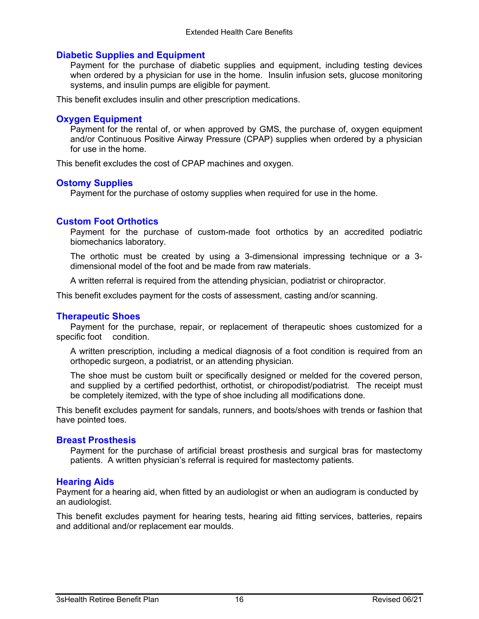#### **Diabetic Supplies and Equipment**

Payment for the purchase of diabetic supplies and equipment, including testing devices when ordered by a physician for use in the home. Insulin infusion sets, glucose monitoring systems, and insulin pumps are eligible for payment.

This benefit excludes insulin and other prescription medications.

#### **Oxygen Equipment**

Payment for the rental of, or when approved by GMS, the purchase of, oxygen equipment and/or Continuous Positive Airway Pressure (CPAP) supplies when ordered by a physician for use in the home.

This benefit excludes the cost of CPAP machines and oxygen.

#### **Ostomy Supplies**

Payment for the purchase of ostomy supplies when required for use in the home.

#### **Custom Foot Orthotics**

Payment for the purchase of custom-made foot orthotics by an accredited podiatric biomechanics laboratory.

The orthotic must be created by using a 3-dimensional impressing technique or a 3 dimensional model of the foot and be made from raw materials.

A written referral is required from the attending physician, podiatrist or chiropractor.

This benefit excludes payment for the costs of assessment, casting and/or scanning.

#### **Therapeutic Shoes**

Payment for the purchase, repair, or replacement of therapeutic shoes customized for a specific foot condition.

A written prescription, including a medical diagnosis of a foot condition is required from an orthopedic surgeon, a podiatrist, or an attending physician.

The shoe must be custom built or specifically designed or melded for the covered person, and supplied by a certified pedorthist, orthotist, or chiropodist/podiatrist. The receipt must be completely itemized, with the type of shoe including all modifications done.

This benefit excludes payment for sandals, runners, and boots/shoes with trends or fashion that have pointed toes.

#### **Breast Prosthesis**

Payment for the purchase of artificial breast prosthesis and surgical bras for mastectomy patients. A written physician's referral is required for mastectomy patients.

#### **Hearing Aids**

Payment for a hearing aid, when fitted by an audiologist or when an audiogram is conducted by an audiologist.

This benefit excludes payment for hearing tests, hearing aid fitting services, batteries, repairs and additional and/or replacement ear moulds.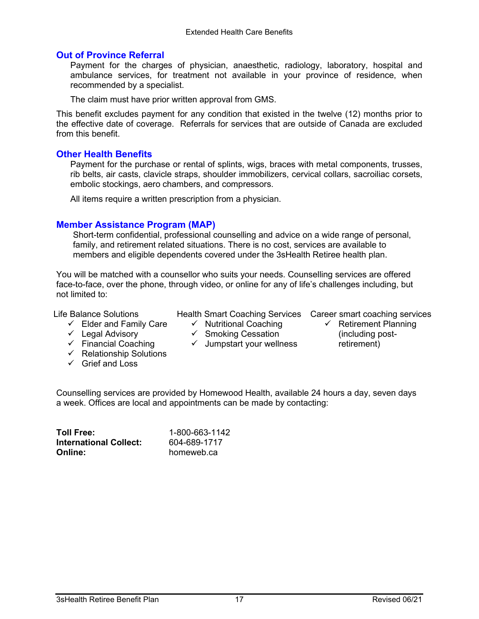#### **Out of Province Referral**

Payment for the charges of physician, anaesthetic, radiology, laboratory, hospital and ambulance services, for treatment not available in your province of residence, when recommended by a specialist.

The claim must have prior written approval from GMS.

This benefit excludes payment for any condition that existed in the twelve (12) months prior to the effective date of coverage. Referrals for services that are outside of Canada are excluded from this benefit.

#### **Other Health Benefits**

Payment for the purchase or rental of splints, wigs, braces with metal components, trusses, rib belts, air casts, clavicle straps, shoulder immobilizers, cervical collars, sacroiliac corsets, embolic stockings, aero chambers, and compressors.

All items require a written prescription from a physician.

### **Member Assistance Program (MAP)**

Short-term confidential, professional counselling and advice on a wide range of personal, family, and retirement related situations. There is no cost, services are available to members and eligible dependents covered under the 3sHealth Retiree health plan.

You will be matched with a counsellor who suits your needs. Counselling services are offered face-to-face, over the phone, through video, or online for any of life's challenges including, but not limited to:

Life Balance Solutions

- $\checkmark$  Nutritional Coaching
- Health Smart Coaching Services Career smart coaching services
- $\checkmark$  Elder and Family Care

 $\checkmark$  Financial Coaching  $\checkmark$  Relationship Solutions

Grief and Loss

- $\checkmark$  Legal Advisory
- $\checkmark$  Smoking Cessation
- $\checkmark$  Jumpstart your wellness
- $\checkmark$  Retirement Planning (including postretirement)

Counselling services are provided by Homewood Health, available 24 hours a day, seven days a week. Offices are local and appointments can be made by contacting:

| <b>Toll Free:</b>             | 1-800-663-1142 |
|-------------------------------|----------------|
| <b>International Collect:</b> | 604-689-1717   |
| <b>Online:</b>                | homeweb.ca     |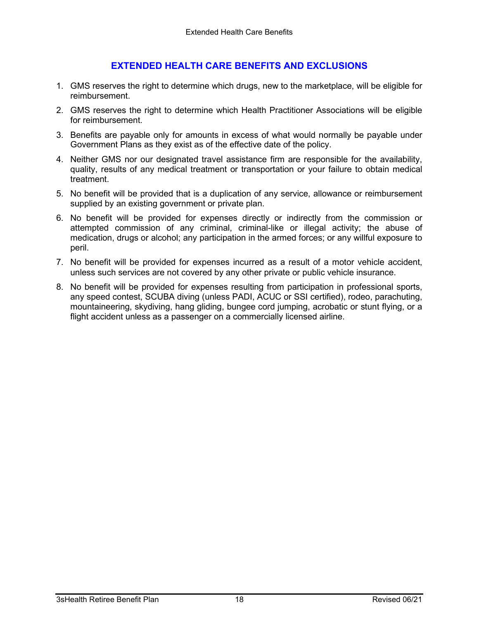## **EXTENDED HEALTH CARE BENEFITS AND EXCLUSIONS**

- 1. GMS reserves the right to determine which drugs, new to the marketplace, will be eligible for reimbursement.
- 2. GMS reserves the right to determine which Health Practitioner Associations will be eligible for reimbursement.
- 3. Benefits are payable only for amounts in excess of what would normally be payable under Government Plans as they exist as of the effective date of the policy.
- 4. Neither GMS nor our designated travel assistance firm are responsible for the availability, quality, results of any medical treatment or transportation or your failure to obtain medical treatment.
- 5. No benefit will be provided that is a duplication of any service, allowance or reimbursement supplied by an existing government or private plan.
- 6. No benefit will be provided for expenses directly or indirectly from the commission or attempted commission of any criminal, criminal-like or illegal activity; the abuse of medication, drugs or alcohol; any participation in the armed forces; or any willful exposure to peril.
- 7. No benefit will be provided for expenses incurred as a result of a motor vehicle accident, unless such services are not covered by any other private or public vehicle insurance.
- 8. No benefit will be provided for expenses resulting from participation in professional sports, any speed contest, SCUBA diving (unless PADI, ACUC or SSI certified), rodeo, parachuting, mountaineering, skydiving, hang gliding, bungee cord jumping, acrobatic or stunt flying, or a flight accident unless as a passenger on a commercially licensed airline.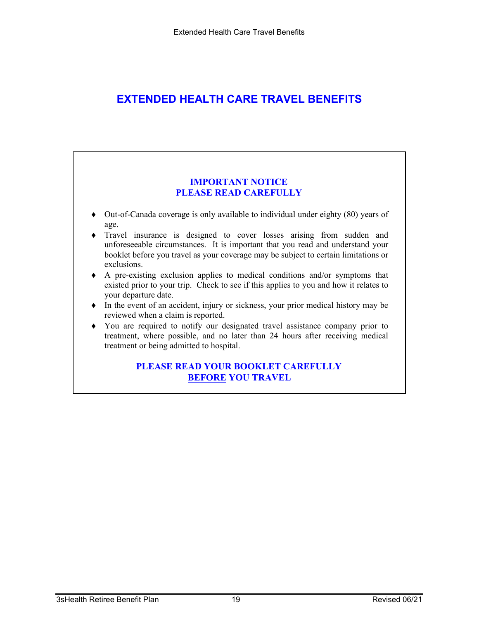# **EXTENDED HEALTH CARE TRAVEL BENEFITS**

#### **IMPORTANT NOTICE PLEASE READ CAREFULLY**

- ♦ Out-of-Canada coverage is only available to individual under eighty (80) years of age.
- ♦ Travel insurance is designed to cover losses arising from sudden and unforeseeable circumstances. It is important that you read and understand your booklet before you travel as your coverage may be subject to certain limitations or exclusions.
- ♦ A pre-existing exclusion applies to medical conditions and/or symptoms that existed prior to your trip. Check to see if this applies to you and how it relates to your departure date.
- ♦ In the event of an accident, injury or sickness, your prior medical history may be reviewed when a claim is reported.
- ♦ You are required to notify our designated travel assistance company prior to treatment, where possible, and no later than 24 hours after receiving medical treatment or being admitted to hospital.

#### **PLEASE READ YOUR BOOKLET CAREFULLY BEFORE YOU TRAVEL**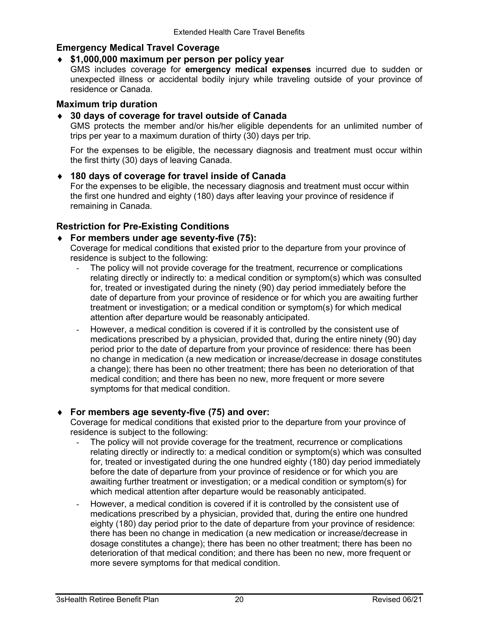### **Emergency Medical Travel Coverage**

#### ♦ **\$1,000,000 maximum per person per policy year**

GMS includes coverage for **emergency medical expenses** incurred due to sudden or unexpected illness or accidental bodily injury while traveling outside of your province of residence or Canada.

#### **Maximum trip duration**

#### ♦ **30 days of coverage for travel outside of Canada**

GMS protects the member and/or his/her eligible dependents for an unlimited number of trips per year to a maximum duration of thirty (30) days per trip.

For the expenses to be eligible, the necessary diagnosis and treatment must occur within the first thirty (30) days of leaving Canada.

# ♦ **180 days of coverage for travel inside of Canada**

For the expenses to be eligible, the necessary diagnosis and treatment must occur within the first one hundred and eighty (180) days after leaving your province of residence if remaining in Canada.

#### **Restriction for Pre-Existing Conditions**

#### ♦ **For members under age seventy-five (75):**

Coverage for medical conditions that existed prior to the departure from your province of residence is subject to the following:

- The policy will not provide coverage for the treatment, recurrence or complications relating directly or indirectly to: a medical condition or symptom(s) which was consulted for, treated or investigated during the ninety (90) day period immediately before the date of departure from your province of residence or for which you are awaiting further treatment or investigation; or a medical condition or symptom(s) for which medical attention after departure would be reasonably anticipated.
- However, a medical condition is covered if it is controlled by the consistent use of medications prescribed by a physician, provided that, during the entire ninety (90) day period prior to the date of departure from your province of residence: there has been no change in medication (a new medication or increase/decrease in dosage constitutes a change); there has been no other treatment; there has been no deterioration of that medical condition; and there has been no new, more frequent or more severe symptoms for that medical condition.

### ♦ **For members age seventy-five (75) and over:**

Coverage for medical conditions that existed prior to the departure from your province of residence is subject to the following:

- The policy will not provide coverage for the treatment, recurrence or complications relating directly or indirectly to: a medical condition or symptom(s) which was consulted for, treated or investigated during the one hundred eighty (180) day period immediately before the date of departure from your province of residence or for which you are awaiting further treatment or investigation; or a medical condition or symptom(s) for which medical attention after departure would be reasonably anticipated.
- However, a medical condition is covered if it is controlled by the consistent use of medications prescribed by a physician, provided that, during the entire one hundred eighty (180) day period prior to the date of departure from your province of residence: there has been no change in medication (a new medication or increase/decrease in dosage constitutes a change); there has been no other treatment; there has been no deterioration of that medical condition; and there has been no new, more frequent or more severe symptoms for that medical condition.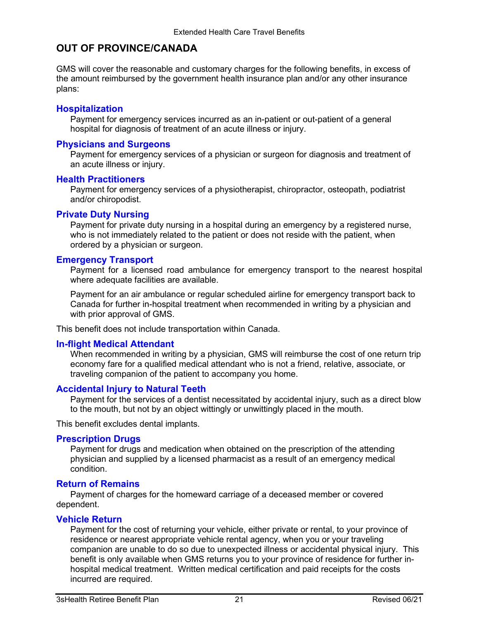# **OUT OF PROVINCE/CANADA**

GMS will cover the reasonable and customary charges for the following benefits, in excess of the amount reimbursed by the government health insurance plan and/or any other insurance plans:

#### **Hospitalization**

Payment for emergency services incurred as an in-patient or out-patient of a general hospital for diagnosis of treatment of an acute illness or injury.

#### **Physicians and Surgeons**

Payment for emergency services of a physician or surgeon for diagnosis and treatment of an acute illness or injury.

#### **Health Practitioners**

Payment for emergency services of a physiotherapist, chiropractor, osteopath, podiatrist and/or chiropodist.

#### **Private Duty Nursing**

Payment for private duty nursing in a hospital during an emergency by a registered nurse, who is not immediately related to the patient or does not reside with the patient, when ordered by a physician or surgeon.

#### **Emergency Transport**

Payment for a licensed road ambulance for emergency transport to the nearest hospital where adequate facilities are available.

Payment for an air ambulance or regular scheduled airline for emergency transport back to Canada for further in-hospital treatment when recommended in writing by a physician and with prior approval of GMS.

This benefit does not include transportation within Canada.

#### **In-flight Medical Attendant**

When recommended in writing by a physician, GMS will reimburse the cost of one return trip economy fare for a qualified medical attendant who is not a friend, relative, associate, or traveling companion of the patient to accompany you home.

#### **Accidental Injury to Natural Teeth**

Payment for the services of a dentist necessitated by accidental injury, such as a direct blow to the mouth, but not by an object wittingly or unwittingly placed in the mouth.

This benefit excludes dental implants.

#### **Prescription Drugs**

Payment for drugs and medication when obtained on the prescription of the attending physician and supplied by a licensed pharmacist as a result of an emergency medical condition.

#### **Return of Remains**

Payment of charges for the homeward carriage of a deceased member or covered dependent.

#### **Vehicle Return**

Payment for the cost of returning your vehicle, either private or rental, to your province of residence or nearest appropriate vehicle rental agency, when you or your traveling companion are unable to do so due to unexpected illness or accidental physical injury. This benefit is only available when GMS returns you to your province of residence for further inhospital medical treatment. Written medical certification and paid receipts for the costs incurred are required.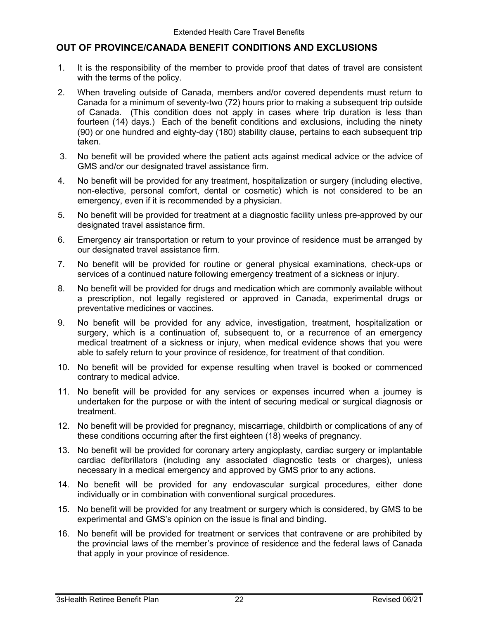### **OUT OF PROVINCE/CANADA BENEFIT CONDITIONS AND EXCLUSIONS**

- 1. It is the responsibility of the member to provide proof that dates of travel are consistent with the terms of the policy.
- 2. When traveling outside of Canada, members and/or covered dependents must return to Canada for a minimum of seventy-two (72) hours prior to making a subsequent trip outside of Canada. (This condition does not apply in cases where trip duration is less than fourteen (14) days.) Each of the benefit conditions and exclusions, including the ninety (90) or one hundred and eighty-day (180) stability clause, pertains to each subsequent trip taken.
- 3. No benefit will be provided where the patient acts against medical advice or the advice of GMS and/or our designated travel assistance firm.
- 4. No benefit will be provided for any treatment, hospitalization or surgery (including elective, non-elective, personal comfort, dental or cosmetic) which is not considered to be an emergency, even if it is recommended by a physician.
- 5. No benefit will be provided for treatment at a diagnostic facility unless pre-approved by our designated travel assistance firm.
- 6. Emergency air transportation or return to your province of residence must be arranged by our designated travel assistance firm.
- 7. No benefit will be provided for routine or general physical examinations, check-ups or services of a continued nature following emergency treatment of a sickness or injury.
- 8. No benefit will be provided for drugs and medication which are commonly available without a prescription, not legally registered or approved in Canada, experimental drugs or preventative medicines or vaccines.
- 9. No benefit will be provided for any advice, investigation, treatment, hospitalization or surgery, which is a continuation of, subsequent to, or a recurrence of an emergency medical treatment of a sickness or injury, when medical evidence shows that you were able to safely return to your province of residence, for treatment of that condition.
- 10. No benefit will be provided for expense resulting when travel is booked or commenced contrary to medical advice.
- 11. No benefit will be provided for any services or expenses incurred when a journey is undertaken for the purpose or with the intent of securing medical or surgical diagnosis or treatment.
- 12. No benefit will be provided for pregnancy, miscarriage, childbirth or complications of any of these conditions occurring after the first eighteen (18) weeks of pregnancy.
- 13. No benefit will be provided for coronary artery angioplasty, cardiac surgery or implantable cardiac defibrillators (including any associated diagnostic tests or charges), unless necessary in a medical emergency and approved by GMS prior to any actions.
- 14. No benefit will be provided for any endovascular surgical procedures, either done individually or in combination with conventional surgical procedures.
- 15. No benefit will be provided for any treatment or surgery which is considered, by GMS to be experimental and GMS's opinion on the issue is final and binding.
- 16. No benefit will be provided for treatment or services that contravene or are prohibited by the provincial laws of the member's province of residence and the federal laws of Canada that apply in your province of residence.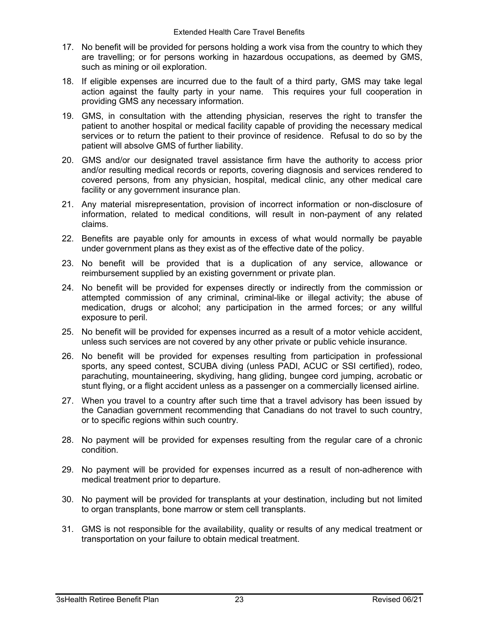- 17. No benefit will be provided for persons holding a work visa from the country to which they are travelling; or for persons working in hazardous occupations, as deemed by GMS, such as mining or oil exploration.
- 18. If eligible expenses are incurred due to the fault of a third party, GMS may take legal action against the faulty party in your name. This requires your full cooperation in providing GMS any necessary information.
- 19. GMS, in consultation with the attending physician, reserves the right to transfer the patient to another hospital or medical facility capable of providing the necessary medical services or to return the patient to their province of residence. Refusal to do so by the patient will absolve GMS of further liability.
- 20. GMS and/or our designated travel assistance firm have the authority to access prior and/or resulting medical records or reports, covering diagnosis and services rendered to covered persons, from any physician, hospital, medical clinic, any other medical care facility or any government insurance plan.
- 21. Any material misrepresentation, provision of incorrect information or non-disclosure of information, related to medical conditions, will result in non-payment of any related claims.
- 22. Benefits are payable only for amounts in excess of what would normally be payable under government plans as they exist as of the effective date of the policy.
- 23. No benefit will be provided that is a duplication of any service, allowance or reimbursement supplied by an existing government or private plan.
- 24. No benefit will be provided for expenses directly or indirectly from the commission or attempted commission of any criminal, criminal-like or illegal activity; the abuse of medication, drugs or alcohol; any participation in the armed forces; or any willful exposure to peril.
- 25. No benefit will be provided for expenses incurred as a result of a motor vehicle accident, unless such services are not covered by any other private or public vehicle insurance.
- 26. No benefit will be provided for expenses resulting from participation in professional sports, any speed contest, SCUBA diving (unless PADI, ACUC or SSI certified), rodeo, parachuting, mountaineering, skydiving, hang gliding, bungee cord jumping, acrobatic or stunt flying, or a flight accident unless as a passenger on a commercially licensed airline.
- 27. When you travel to a country after such time that a travel advisory has been issued by the Canadian government recommending that Canadians do not travel to such country, or to specific regions within such country.
- 28. No payment will be provided for expenses resulting from the regular care of a chronic condition.
- 29. No payment will be provided for expenses incurred as a result of non-adherence with medical treatment prior to departure.
- 30. No payment will be provided for transplants at your destination, including but not limited to organ transplants, bone marrow or stem cell transplants.
- 31. GMS is not responsible for the availability, quality or results of any medical treatment or transportation on your failure to obtain medical treatment.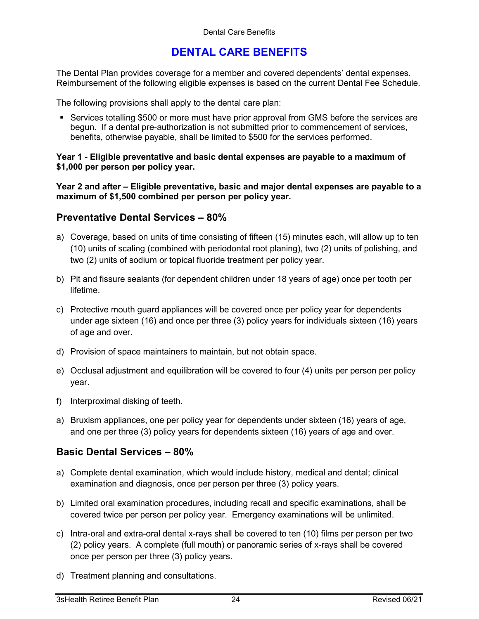# **DENTAL CARE BENEFITS**

The Dental Plan provides coverage for a member and covered dependents' dental expenses. Reimbursement of the following eligible expenses is based on the current Dental Fee Schedule.

The following provisions shall apply to the dental care plan:

 Services totalling \$500 or more must have prior approval from GMS before the services are begun. If a dental pre-authorization is not submitted prior to commencement of services, benefits, otherwise payable, shall be limited to \$500 for the services performed.

**Year 1 - Eligible preventative and basic dental expenses are payable to a maximum of \$1,000 per person per policy year.** 

**Year 2 and after – Eligible preventative, basic and major dental expenses are payable to a maximum of \$1,500 combined per person per policy year.**

### **Preventative Dental Services – 80%**

- a) Coverage, based on units of time consisting of fifteen (15) minutes each, will allow up to ten (10) units of scaling (combined with periodontal root planing), two (2) units of polishing, and two (2) units of sodium or topical fluoride treatment per policy year.
- b) Pit and fissure sealants (for dependent children under 18 years of age) once per tooth per lifetime.
- c) Protective mouth guard appliances will be covered once per policy year for dependents under age sixteen (16) and once per three (3) policy years for individuals sixteen (16) years of age and over.
- d) Provision of space maintainers to maintain, but not obtain space.
- e) Occlusal adjustment and equilibration will be covered to four (4) units per person per policy year.
- f) Interproximal disking of teeth.
- a) Bruxism appliances, one per policy year for dependents under sixteen (16) years of age, and one per three (3) policy years for dependents sixteen (16) years of age and over.

## **Basic Dental Services – 80%**

- a) Complete dental examination, which would include history, medical and dental; clinical examination and diagnosis, once per person per three (3) policy years.
- b) Limited oral examination procedures, including recall and specific examinations, shall be covered twice per person per policy year. Emergency examinations will be unlimited.
- c) Intra-oral and extra-oral dental x-rays shall be covered to ten (10) films per person per two (2) policy years. A complete (full mouth) or panoramic series of x-rays shall be covered once per person per three (3) policy years.
- d) Treatment planning and consultations.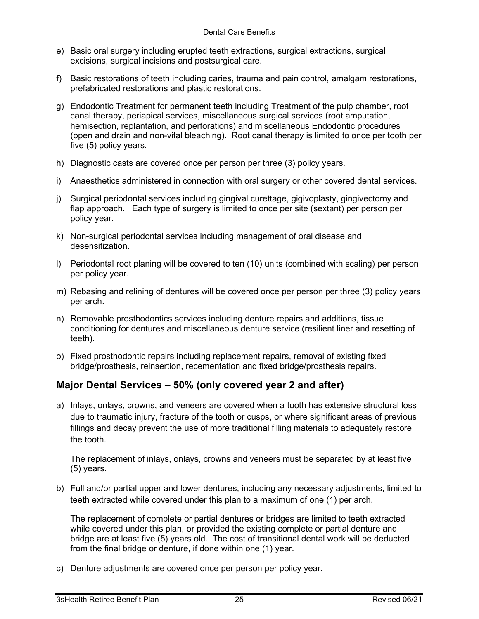- e) Basic oral surgery including erupted teeth extractions, surgical extractions, surgical excisions, surgical incisions and postsurgical care.
- f) Basic restorations of teeth including caries, trauma and pain control, amalgam restorations, prefabricated restorations and plastic restorations.
- g) Endodontic Treatment for permanent teeth including Treatment of the pulp chamber, root canal therapy, periapical services, miscellaneous surgical services (root amputation, hemisection, replantation, and perforations) and miscellaneous Endodontic procedures (open and drain and non-vital bleaching). Root canal therapy is limited to once per tooth per five (5) policy years.
- h) Diagnostic casts are covered once per person per three (3) policy years.
- i) Anaesthetics administered in connection with oral surgery or other covered dental services.
- j) Surgical periodontal services including gingival curettage, gigivoplasty, gingivectomy and flap approach. Each type of surgery is limited to once per site (sextant) per person per policy year.
- k) Non-surgical periodontal services including management of oral disease and desensitization.
- l) Periodontal root planing will be covered to ten (10) units (combined with scaling) per person per policy year.
- m) Rebasing and relining of dentures will be covered once per person per three (3) policy years per arch.
- n) Removable prosthodontics services including denture repairs and additions, tissue conditioning for dentures and miscellaneous denture service (resilient liner and resetting of teeth).
- o) Fixed prosthodontic repairs including replacement repairs, removal of existing fixed bridge/prosthesis, reinsertion, recementation and fixed bridge/prosthesis repairs.

## **Major Dental Services – 50% (only covered year 2 and after)**

a) Inlays, onlays, crowns, and veneers are covered when a tooth has extensive structural loss due to traumatic injury, fracture of the tooth or cusps, or where significant areas of previous fillings and decay prevent the use of more traditional filling materials to adequately restore the tooth.

The replacement of inlays, onlays, crowns and veneers must be separated by at least five (5) years.

b) Full and/or partial upper and lower dentures, including any necessary adjustments, limited to teeth extracted while covered under this plan to a maximum of one (1) per arch.

The replacement of complete or partial dentures or bridges are limited to teeth extracted while covered under this plan, or provided the existing complete or partial denture and bridge are at least five (5) years old. The cost of transitional dental work will be deducted from the final bridge or denture, if done within one (1) year.

c) Denture adjustments are covered once per person per policy year.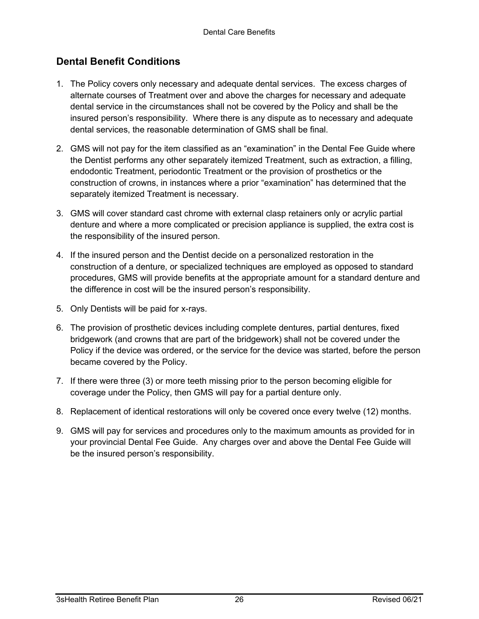# **Dental Benefit Conditions**

- 1. The Policy covers only necessary and adequate dental services. The excess charges of alternate courses of Treatment over and above the charges for necessary and adequate dental service in the circumstances shall not be covered by the Policy and shall be the insured person's responsibility. Where there is any dispute as to necessary and adequate dental services, the reasonable determination of GMS shall be final.
- 2. GMS will not pay for the item classified as an "examination" in the Dental Fee Guide where the Dentist performs any other separately itemized Treatment, such as extraction, a filling, endodontic Treatment, periodontic Treatment or the provision of prosthetics or the construction of crowns, in instances where a prior "examination" has determined that the separately itemized Treatment is necessary.
- 3. GMS will cover standard cast chrome with external clasp retainers only or acrylic partial denture and where a more complicated or precision appliance is supplied, the extra cost is the responsibility of the insured person.
- 4. If the insured person and the Dentist decide on a personalized restoration in the construction of a denture, or specialized techniques are employed as opposed to standard procedures, GMS will provide benefits at the appropriate amount for a standard denture and the difference in cost will be the insured person's responsibility.
- 5. Only Dentists will be paid for x-rays.
- 6. The provision of prosthetic devices including complete dentures, partial dentures, fixed bridgework (and crowns that are part of the bridgework) shall not be covered under the Policy if the device was ordered, or the service for the device was started, before the person became covered by the Policy.
- 7. If there were three (3) or more teeth missing prior to the person becoming eligible for coverage under the Policy, then GMS will pay for a partial denture only.
- 8. Replacement of identical restorations will only be covered once every twelve (12) months.
- 9. GMS will pay for services and procedures only to the maximum amounts as provided for in your provincial Dental Fee Guide. Any charges over and above the Dental Fee Guide will be the insured person's responsibility.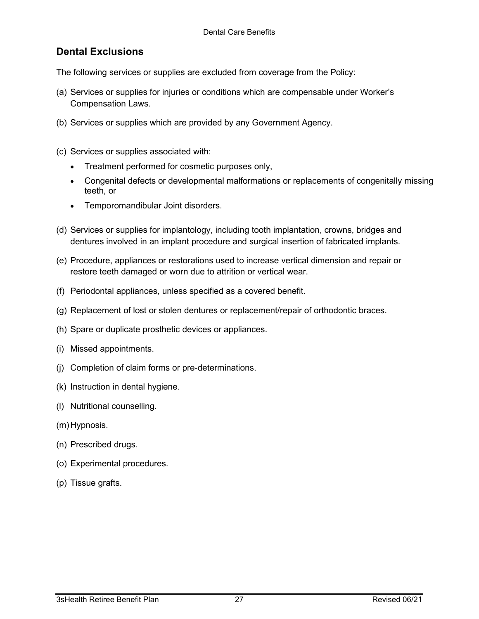# **Dental Exclusions**

The following services or supplies are excluded from coverage from the Policy:

- (a) Services or supplies for injuries or conditions which are compensable under Worker's Compensation Laws.
- (b) Services or supplies which are provided by any Government Agency.
- (c) Services or supplies associated with:
	- Treatment performed for cosmetic purposes only,
	- Congenital defects or developmental malformations or replacements of congenitally missing teeth, or
	- Temporomandibular Joint disorders.
- (d) Services or supplies for implantology, including tooth implantation, crowns, bridges and dentures involved in an implant procedure and surgical insertion of fabricated implants.
- (e) Procedure, appliances or restorations used to increase vertical dimension and repair or restore teeth damaged or worn due to attrition or vertical wear.
- (f) Periodontal appliances, unless specified as a covered benefit.
- (g) Replacement of lost or stolen dentures or replacement/repair of orthodontic braces.
- (h) Spare or duplicate prosthetic devices or appliances.
- (i) Missed appointments.
- (j) Completion of claim forms or pre-determinations.
- (k) Instruction in dental hygiene.
- (l) Nutritional counselling.
- (m) Hypnosis.
- (n) Prescribed drugs.
- (o) Experimental procedures.
- (p) Tissue grafts.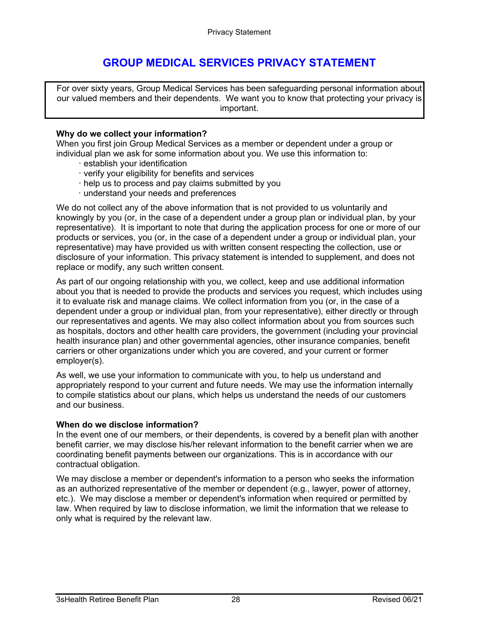# **GROUP MEDICAL SERVICES PRIVACY STATEMENT**

For over sixty years, Group Medical Services has been safeguarding personal information about our valued members and their dependents. We want you to know that protecting your privacy is important.

#### **Why do we collect your information?**

When you first join Group Medical Services as a member or dependent under a group or individual plan we ask for some information about you. We use this information to:

- · establish your identification
- · verify your eligibility for benefits and services
- · help us to process and pay claims submitted by you
- · understand your needs and preferences

We do not collect any of the above information that is not provided to us voluntarily and knowingly by you (or, in the case of a dependent under a group plan or individual plan, by your representative). It is important to note that during the application process for one or more of our products or services, you (or, in the case of a dependent under a group or individual plan, your representative) may have provided us with written consent respecting the collection, use or disclosure of your information. This privacy statement is intended to supplement, and does not replace or modify, any such written consent.

As part of our ongoing relationship with you, we collect, keep and use additional information about you that is needed to provide the products and services you request, which includes using it to evaluate risk and manage claims. We collect information from you (or, in the case of a dependent under a group or individual plan, from your representative), either directly or through our representatives and agents. We may also collect information about you from sources such as hospitals, doctors and other health care providers, the government (including your provincial health insurance plan) and other governmental agencies, other insurance companies, benefit carriers or other organizations under which you are covered, and your current or former employer(s).

As well, we use your information to communicate with you, to help us understand and appropriately respond to your current and future needs. We may use the information internally to compile statistics about our plans, which helps us understand the needs of our customers and our business.

#### **When do we disclose information?**

In the event one of our members, or their dependents, is covered by a benefit plan with another benefit carrier, we may disclose his/her relevant information to the benefit carrier when we are coordinating benefit payments between our organizations. This is in accordance with our contractual obligation.

We may disclose a member or dependent's information to a person who seeks the information as an authorized representative of the member or dependent (e.g., lawyer, power of attorney, etc.). We may disclose a member or dependent's information when required or permitted by law. When required by law to disclose information, we limit the information that we release to only what is required by the relevant law.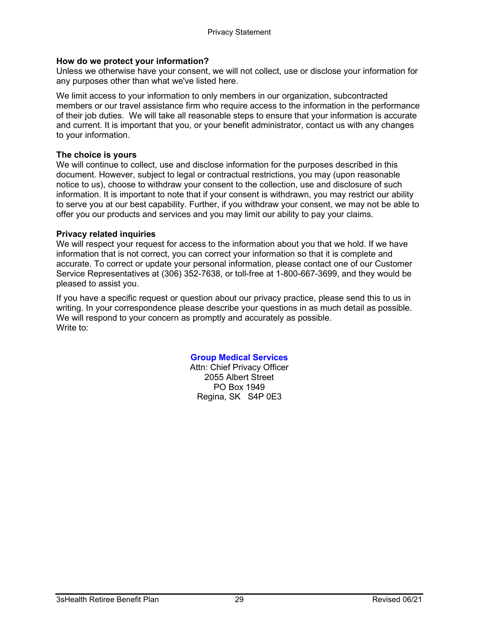#### **How do we protect your information?**

Unless we otherwise have your consent, we will not collect, use or disclose your information for any purposes other than what we've listed here.

We limit access to your information to only members in our organization, subcontracted members or our travel assistance firm who require access to the information in the performance of their job duties. We will take all reasonable steps to ensure that your information is accurate and current. It is important that you, or your benefit administrator, contact us with any changes to your information.

#### **The choice is yours**

We will continue to collect, use and disclose information for the purposes described in this document. However, subject to legal or contractual restrictions, you may (upon reasonable notice to us), choose to withdraw your consent to the collection, use and disclosure of such information. It is important to note that if your consent is withdrawn, you may restrict our ability to serve you at our best capability. Further, if you withdraw your consent, we may not be able to offer you our products and services and you may limit our ability to pay your claims.

#### **Privacy related inquiries**

We will respect your request for access to the information about you that we hold. If we have information that is not correct, you can correct your information so that it is complete and accurate. To correct or update your personal information, please contact one of our Customer Service Representatives at (306) 352-7638, or toll-free at 1-800-667-3699, and they would be pleased to assist you.

If you have a specific request or question about our privacy practice, please send this to us in writing. In your correspondence please describe your questions in as much detail as possible. We will respond to your concern as promptly and accurately as possible. Write to:

#### **Group Medical Services**

Attn: Chief Privacy Officer 2055 Albert Street PO Box 1949 Regina, SK S4P 0E3